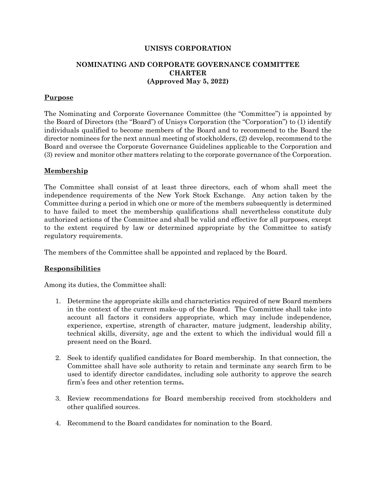#### **UNISYS CORPORATION**

## **NOMINATING AND CORPORATE GOVERNANCE COMMITTEE CHARTER (Approved May 5, 2022)**

## **Purpose**

The Nominating and Corporate Governance Committee (the "Committee") is appointed by the Board of Directors (the "Board") of Unisys Corporation (the "Corporation") to (1) identify individuals qualified to become members of the Board and to recommend to the Board the director nominees for the next annual meeting of stockholders, (2) develop, recommend to the Board and oversee the Corporate Governance Guidelines applicable to the Corporation and (3) review and monitor other matters relating to the corporate governance of the Corporation.

#### **Membership**

The Committee shall consist of at least three directors, each of whom shall meet the independence requirements of the New York Stock Exchange. Any action taken by the Committee during a period in which one or more of the members subsequently is determined to have failed to meet the membership qualifications shall nevertheless constitute duly authorized actions of the Committee and shall be valid and effective for all purposes, except to the extent required by law or determined appropriate by the Committee to satisfy regulatory requirements.

The members of the Committee shall be appointed and replaced by the Board.

## **Responsibilities**

Among its duties, the Committee shall:

- 1. Determine the appropriate skills and characteristics required of new Board members in the context of the current make-up of the Board. The Committee shall take into account all factors it considers appropriate, which may include independence, experience, expertise, strength of character, mature judgment, leadership ability, technical skills, diversity, age and the extent to which the individual would fill a present need on the Board.
- 2. Seek to identify qualified candidates for Board membership. In that connection, the Committee shall have sole authority to retain and terminate any search firm to be used to identify director candidates, including sole authority to approve the search firm's fees and other retention terms**.**
- 3. Review recommendations for Board membership received from stockholders and other qualified sources.
- 4. Recommend to the Board candidates for nomination to the Board.